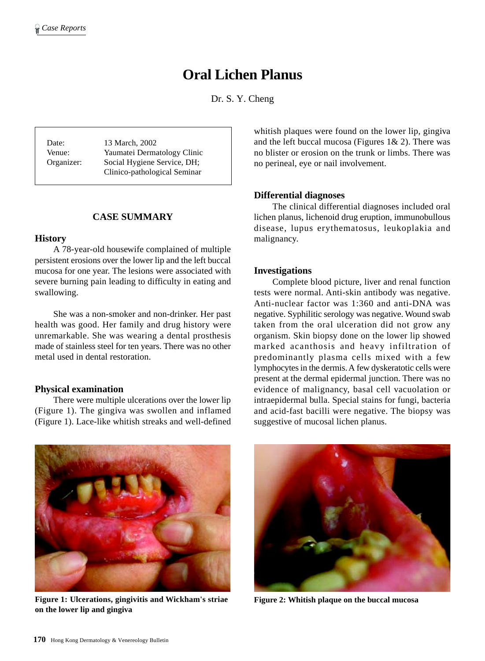# **Oral Lichen Planus**

Dr. S. Y. Cheng

Date: 13 March, 2002 Venue: Yaumatei Dermatology Clinic Organizer: Social Hygiene Service, DH; Clinico-pathological Seminar

#### **CASE SUMMARY**

#### **History**

A 78-year-old housewife complained of multiple persistent erosions over the lower lip and the left buccal mucosa for one year. The lesions were associated with severe burning pain leading to difficulty in eating and swallowing.

She was a non-smoker and non-drinker. Her past health was good. Her family and drug history were unremarkable. She was wearing a dental prosthesis made of stainless steel for ten years. There was no other metal used in dental restoration.

#### **Physical examination**

There were multiple ulcerations over the lower lip (Figure 1). The gingiva was swollen and inflamed (Figure 1). Lace-like whitish streaks and well-defined whitish plaques were found on the lower lip, gingiva and the left buccal mucosa (Figures  $1& 2$ ). There was no blister or erosion on the trunk or limbs. There was no perineal, eye or nail involvement.

#### **Differential diagnoses**

The clinical differential diagnoses included oral lichen planus, lichenoid drug eruption, immunobullous disease, lupus erythematosus, leukoplakia and malignancy.

#### **Investigations**

Complete blood picture, liver and renal function tests were normal. Anti-skin antibody was negative. Anti-nuclear factor was 1:360 and anti-DNA was negative. Syphilitic serology was negative. Wound swab taken from the oral ulceration did not grow any organism. Skin biopsy done on the lower lip showed marked acanthosis and heavy infiltration of predominantly plasma cells mixed with a few lymphocytes in the dermis. A few dyskeratotic cells were present at the dermal epidermal junction. There was no evidence of malignancy, basal cell vacuolation or intraepidermal bulla. Special stains for fungi, bacteria and acid-fast bacilli were negative. The biopsy was suggestive of mucosal lichen planus.



**Figure 1: Ulcerations, gingivitis and Wickham's striae on the lower lip and gingiva**



**Figure 2: Whitish plaque on the buccal mucosa**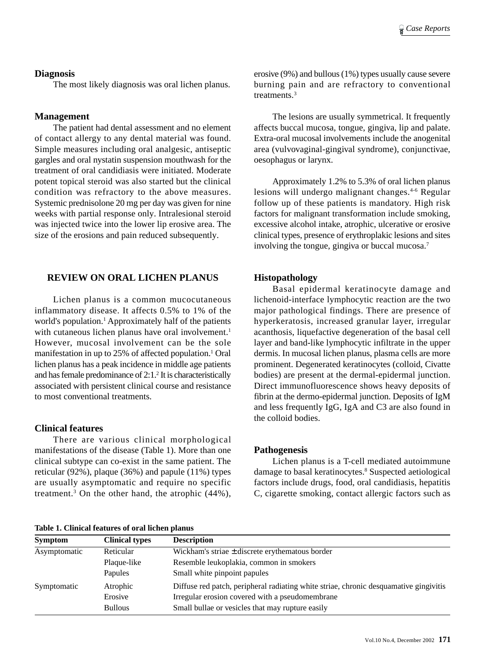#### **Diagnosis**

The most likely diagnosis was oral lichen planus.

## **Management**

The patient had dental assessment and no element of contact allergy to any dental material was found. Simple measures including oral analgesic, antiseptic gargles and oral nystatin suspension mouthwash for the treatment of oral candidiasis were initiated. Moderate potent topical steroid was also started but the clinical condition was refractory to the above measures. Systemic prednisolone 20 mg per day was given for nine weeks with partial response only. Intralesional steroid was injected twice into the lower lip erosive area. The size of the erosions and pain reduced subsequently.

# **REVIEW ON ORAL LICHEN PLANUS**

Lichen planus is a common mucocutaneous inflammatory disease. It affects 0.5% to 1% of the world's population.<sup>1</sup> Approximately half of the patients with cutaneous lichen planus have oral involvement.<sup>1</sup> However, mucosal involvement can be the sole manifestation in up to 25% of affected population.<sup>1</sup> Oral lichen planus has a peak incidence in middle age patients and has female predominance of 2:1.<sup>2</sup> It is characteristically associated with persistent clinical course and resistance to most conventional treatments.

## **Clinical features**

There are various clinical morphological manifestations of the disease (Table 1). More than one clinical subtype can co-exist in the same patient. The reticular (92%), plaque (36%) and papule (11%) types are usually asymptomatic and require no specific treatment.3 On the other hand, the atrophic (44%),

**Table 1. Clinical features of oral lichen planus**

erosive (9%) and bullous (1%) types usually cause severe burning pain and are refractory to conventional treatments.3

The lesions are usually symmetrical. It frequently affects buccal mucosa, tongue, gingiva, lip and palate. Extra-oral mucosal involvements include the anogenital area (vulvovaginal-gingival syndrome), conjunctivae, oesophagus or larynx.

Approximately 1.2% to 5.3% of oral lichen planus lesions will undergo malignant changes.4-6 Regular follow up of these patients is mandatory. High risk factors for malignant transformation include smoking, excessive alcohol intake, atrophic, ulcerative or erosive clinical types, presence of erythroplakic lesions and sites involving the tongue, gingiva or buccal mucosa.7

# **Histopathology**

Basal epidermal keratinocyte damage and lichenoid-interface lymphocytic reaction are the two major pathological findings. There are presence of hyperkeratosis, increased granular layer, irregular acanthosis, liquefactive degeneration of the basal cell layer and band-like lymphocytic infiltrate in the upper dermis. In mucosal lichen planus, plasma cells are more prominent. Degenerated keratinocytes (colloid, Civatte bodies) are present at the dermal-epidermal junction. Direct immunofluorescence shows heavy deposits of fibrin at the dermo-epidermal junction. Deposits of IgM and less frequently IgG, IgA and C3 are also found in the colloid bodies.

#### **Pathogenesis**

Lichen planus is a T-cell mediated autoimmune damage to basal keratinocytes.<sup>8</sup> Suspected aetiological factors include drugs, food, oral candidiasis, hepatitis C, cigarette smoking, contact allergic factors such as

| <b>Symptom</b> | <b>Clinical types</b> | <b>Description</b>                                                                    |
|----------------|-----------------------|---------------------------------------------------------------------------------------|
| Asymptomatic   | Reticular             | Wickham's striae $\pm$ discrete erythematous border                                   |
|                | Plaque-like           | Resemble leukoplakia, common in smokers                                               |
|                | Papules               | Small white pinpoint papules                                                          |
| Symptomatic    | Atrophic              | Diffuse red patch, peripheral radiating white striae, chronic desquamative gingivitis |
|                | Erosive               | Irregular erosion covered with a pseudomembrane                                       |
|                | <b>Bullous</b>        | Small bullae or vesicles that may rupture easily                                      |
|                |                       |                                                                                       |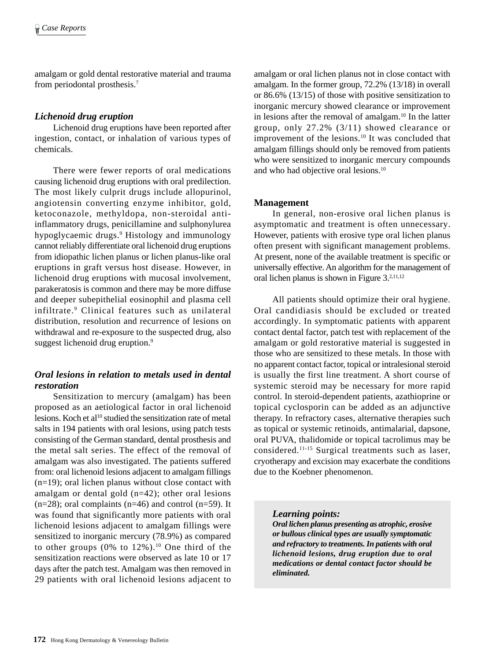amalgam or gold dental restorative material and trauma from periodontal prosthesis.7

## *Lichenoid drug eruption*

Lichenoid drug eruptions have been reported after ingestion, contact, or inhalation of various types of chemicals.

There were fewer reports of oral medications causing lichenoid drug eruptions with oral predilection. The most likely culprit drugs include allopurinol, angiotensin converting enzyme inhibitor, gold, ketoconazole, methyldopa, non-steroidal antiinflammatory drugs, penicillamine and sulphonylurea hypoglycaemic drugs.9 Histology and immunology cannot reliably differentiate oral lichenoid drug eruptions from idiopathic lichen planus or lichen planus-like oral eruptions in graft versus host disease. However, in lichenoid drug eruptions with mucosal involvement, parakeratosis is common and there may be more diffuse and deeper subepithelial eosinophil and plasma cell infiltrate.9 Clinical features such as unilateral distribution, resolution and recurrence of lesions on withdrawal and re-exposure to the suspected drug, also suggest lichenoid drug eruption.<sup>9</sup>

# *Oral lesions in relation to metals used in dental restoration*

Sensitization to mercury (amalgam) has been proposed as an aetiological factor in oral lichenoid lesions. Koch et al<sup>10</sup> studied the sensitization rate of metal salts in 194 patients with oral lesions, using patch tests consisting of the German standard, dental prosthesis and the metal salt series. The effect of the removal of amalgam was also investigated. The patients suffered from: oral lichenoid lesions adjacent to amalgam fillings (n=19); oral lichen planus without close contact with amalgam or dental gold (n=42); other oral lesions  $(n=28)$ ; oral complaints  $(n=46)$  and control  $(n=59)$ . It was found that significantly more patients with oral lichenoid lesions adjacent to amalgam fillings were sensitized to inorganic mercury (78.9%) as compared to other groups  $(0\%$  to  $12\%)$ .<sup>10</sup> One third of the sensitization reactions were observed as late 10 or 17 days after the patch test. Amalgam was then removed in 29 patients with oral lichenoid lesions adjacent to

amalgam or oral lichen planus not in close contact with amalgam. In the former group, 72.2% (13/18) in overall or 86.6% (13/15) of those with positive sensitization to inorganic mercury showed clearance or improvement in lesions after the removal of amalgam.10 In the latter group, only 27.2% (3/11) showed clearance or improvement of the lesions.10 It was concluded that amalgam fillings should only be removed from patients who were sensitized to inorganic mercury compounds and who had objective oral lesions.10

## **Management**

In general, non-erosive oral lichen planus is asymptomatic and treatment is often unnecessary. However, patients with erosive type oral lichen planus often present with significant management problems. At present, none of the available treatment is specific or universally effective. An algorithm for the management of oral lichen planus is shown in Figure 3.2,11,12

All patients should optimize their oral hygiene. Oral candidiasis should be excluded or treated accordingly. In symptomatic patients with apparent contact dental factor, patch test with replacement of the amalgam or gold restorative material is suggested in those who are sensitized to these metals. In those with no apparent contact factor, topical or intralesional steroid is usually the first line treatment. A short course of systemic steroid may be necessary for more rapid control. In steroid-dependent patients, azathioprine or topical cyclosporin can be added as an adjunctive therapy. In refractory cases, alternative therapies such as topical or systemic retinoids, antimalarial, dapsone, oral PUVA, thalidomide or topical tacrolimus may be considered.11-15 Surgical treatments such as laser, cryotherapy and excision may exacerbate the conditions due to the Koebner phenomenon.

## *Learning points:*

*Oral lichen planus presenting as atrophic, erosive or bullous clinical types are usually symptomatic and refractory to treatments. In patients with oral lichenoid lesions, drug eruption due to oral medications or dental contact factor should be eliminated.*